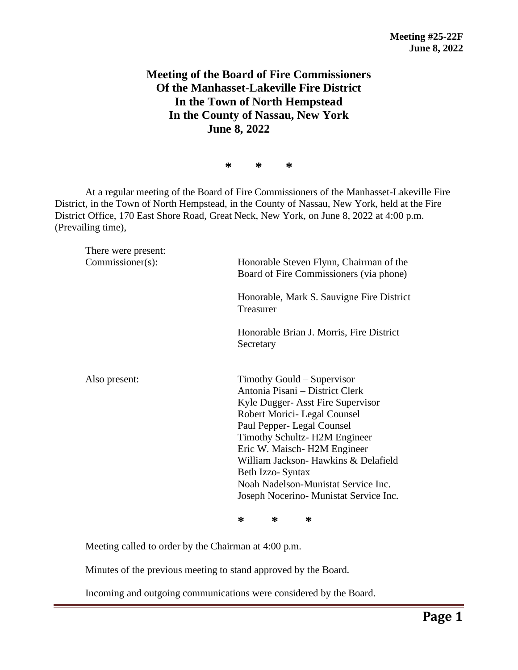## **Meeting of the Board of Fire Commissioners Of the Manhasset-Lakeville Fire District In the Town of North Hempstead In the County of Nassau, New York June 8, 2022**

**\* \* \***

At a regular meeting of the Board of Fire Commissioners of the Manhasset-Lakeville Fire District, in the Town of North Hempstead, in the County of Nassau, New York, held at the Fire District Office, 170 East Shore Road, Great Neck, New York, on June 8, 2022 at 4:00 p.m. (Prevailing time),

| There were present:<br>Commissioner(s): | Honorable Steven Flynn, Chairman of the<br>Board of Fire Commissioners (via phone)                                                                                                                                                                                                                                                                                            |
|-----------------------------------------|-------------------------------------------------------------------------------------------------------------------------------------------------------------------------------------------------------------------------------------------------------------------------------------------------------------------------------------------------------------------------------|
|                                         | Honorable, Mark S. Sauvigne Fire District<br>Treasurer                                                                                                                                                                                                                                                                                                                        |
|                                         | Honorable Brian J. Morris, Fire District<br>Secretary                                                                                                                                                                                                                                                                                                                         |
| Also present:                           | Timothy Gould – Supervisor<br>Antonia Pisani – District Clerk<br>Kyle Dugger- Asst Fire Supervisor<br>Robert Morici- Legal Counsel<br>Paul Pepper- Legal Counsel<br>Timothy Schultz-H2M Engineer<br>Eric W. Maisch- H2M Engineer<br>William Jackson- Hawkins & Delafield<br>Beth Izzo-Syntax<br>Noah Nadelson-Munistat Service Inc.<br>Joseph Nocerino- Munistat Service Inc. |

**\* \* \***

Meeting called to order by the Chairman at 4:00 p.m.

Minutes of the previous meeting to stand approved by the Board.

Incoming and outgoing communications were considered by the Board.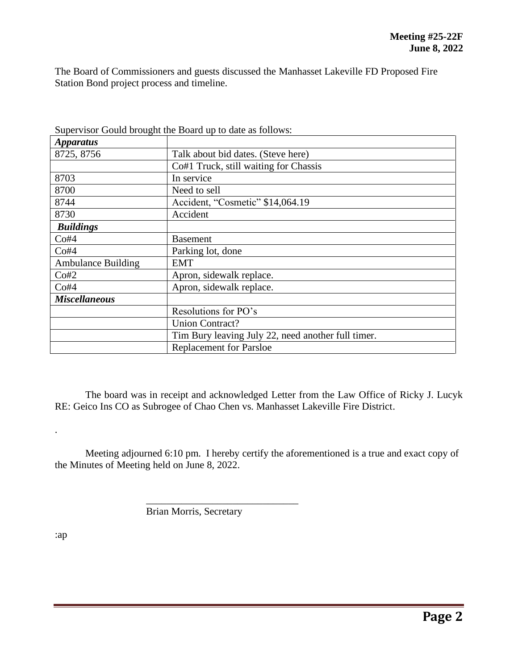The Board of Commissioners and guests discussed the Manhasset Lakeville FD Proposed Fire Station Bond project process and timeline.

| <i>Apparatus</i>          |                                                    |
|---------------------------|----------------------------------------------------|
| 8725, 8756                | Talk about bid dates. (Steve here)                 |
|                           | Co#1 Truck, still waiting for Chassis              |
| 8703                      | In service                                         |
| 8700                      | Need to sell                                       |
| 8744                      | Accident, "Cosmetic" \$14,064.19                   |
| 8730                      | Accident                                           |
| <b>Buildings</b>          |                                                    |
| Co#4                      | <b>Basement</b>                                    |
| Co#4                      | Parking lot, done                                  |
| <b>Ambulance Building</b> | EMT                                                |
| Co#2                      | Apron, sidewalk replace.                           |
| Co#4                      | Apron, sidewalk replace.                           |
| <b>Miscellaneous</b>      |                                                    |
|                           | Resolutions for PO's                               |
|                           | <b>Union Contract?</b>                             |
|                           | Tim Bury leaving July 22, need another full timer. |
|                           | <b>Replacement for Parsloe</b>                     |

Supervisor Gould brought the Board up to date as follows:

The board was in receipt and acknowledged Letter from the Law Office of Ricky J. Lucyk RE: Geico Ins CO as Subrogee of Chao Chen vs. Manhasset Lakeville Fire District.

Meeting adjourned 6:10 pm. I hereby certify the aforementioned is a true and exact copy of the Minutes of Meeting held on June 8, 2022.

Brian Morris, Secretary

\_\_\_\_\_\_\_\_\_\_\_\_\_\_\_\_\_\_\_\_\_\_\_\_\_\_\_\_\_\_

:ap

.